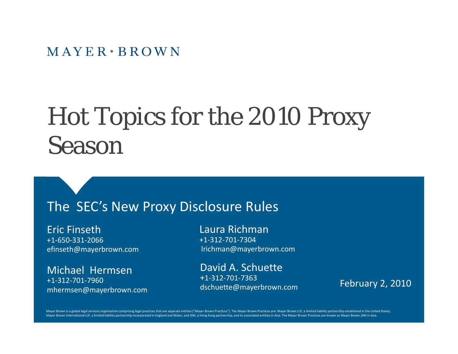$M$  AYER  $\cdot$  BROWN

# Hot Topics for the 2010 Proxy Season

#### The SEC's New Proxy Disclosure Rules

Eric Finseth+1‐650‐331‐2066efinseth@mayerbrown.com

Michael Hermsen+1‐312‐701‐7960mhermsen@mayerbrown.com

Laura Richman+1‐312‐701‐7304lrichman@mayerbrown.com

David A. Schuette +1‐312‐701‐7363dschuette@mayerbrown com dschuette@mayerbrown.com

Februar y 2, 2010

Mayer Brown is a global legal services organization comprising legal practices that are separate entities ("Mayer Brown Practices"). The Mayer Brown Practices are: Mayer Brown LLP, a limited liability partnership establish Mayer Brown International LLP, a limited liability partnership incorporated in England and Wales; and JSM, a Hong Kong partnership, and its associated entities in Asia. The Mayer Brown Practices are known as Mayer Brown JS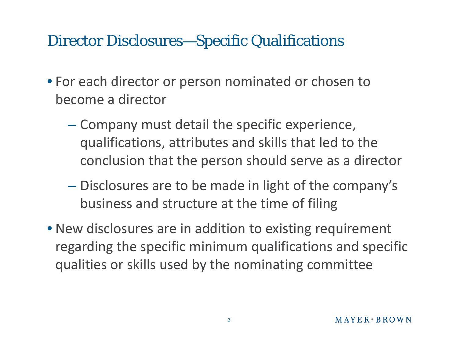#### Director Disclosures—Specific Qualifications

- For each director or person nominated or chosen to become a director
	- **Hart Communication**  Company must detail the specific experience, qualifications, attributes and skills that led to the conclusion that the person should serve as a director
	- Disclosures are to be made in light of the company's business and structure at the time of filing
- New disclosures are in addition to existing requirement regarding the specific minimum qualifications and specific qualities or skills used by the nominating committee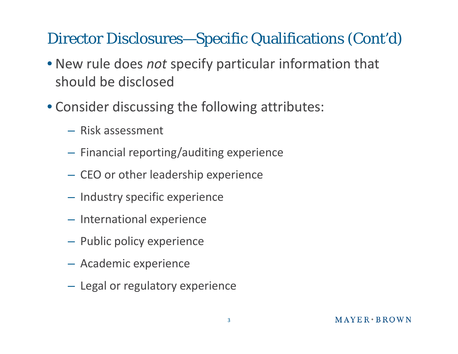## Director Disclosures—Specific Qualifications (Cont'd)

- New rule does *not* specify particular information that should be disclosed
- Consider discussing the following attributes:
	- Risk assessment
	- $-$  Financial reporting/auditing experience
	- CEO or other leadership experience
	- $-$  Industry specific experience
	- – $-$  International experience
	- $-$  Public policy experience
	- Academic experience
	- $-$  Legal or regulatory experience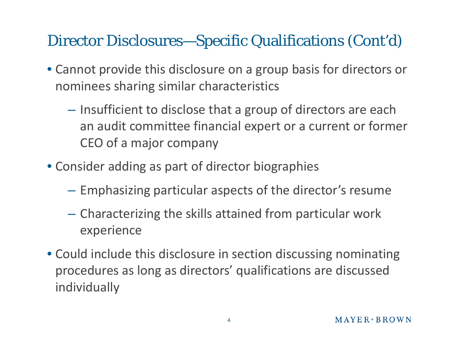## Director Disclosures—Specific Qualifications (Cont'd)

- Cannot provide this disclosure on a group basis for directors or nominees sharing similar characteristics
	- Insufficient to disclose that a group of directors are each an audit committee financial expert or a current or former CEO of a major company
- Consider adding as part of director biographies
	- – $-$  Emphasizing particular aspects of the director's resume
	- Characterizing the skills attained from particular work experience
- Could include this disclosure in section discussing nominating procedures as long as directors' qualifications are discussed individually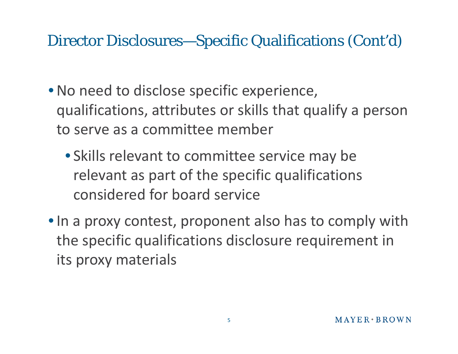#### Director Disclosures—Specific Qualifications (Cont'd)

- No need to disclose specific experience, qualifications, attributes or skills that qualify a person to serve as a committee member
	- Skills relevant to committee service may be relevant as part of the specific qualifications considered for board service
- •In a proxy contest, proponent also has to comply with the specific qualifications disclosure requirement in its proxy materials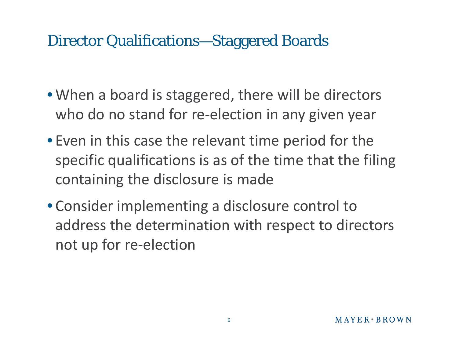#### Director Qualifications—Staggered Boards

- When a board is staggered, there will be directors who do no stand for re-election in any given year
- Even in this case the relevant time period for the specific qualifications is as of the time that the filing containing the disclosure is made
- Consider implementing a disclosure control to address the determination with respect to directors not up for re ‐election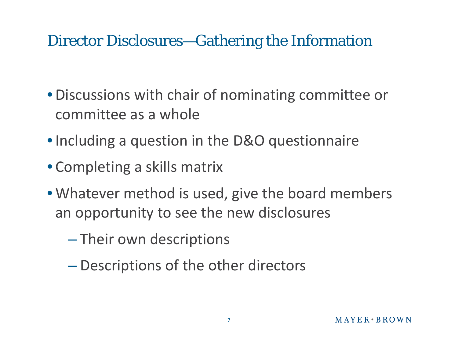## Director Disclosures—Gathering the Information

- Discussions with chair of nominating committee or committee as a whole
- •Including a question in the D&O questionnaire
- Completing a skills matrix
- Whatever method is used, give the board members an opportunity to see the new disclosures
	- $-$  Their own descriptions
	- –Descriptions of the other directors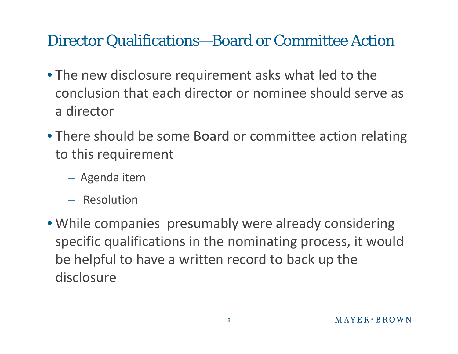#### Director Qualifications—Board or Committee Action

- The new disclosure requirement asks what led to the conclusion that each director or nominee should serve as a director
- There should be some Board or committee action relating to this requirement
	- Agenda item
	- Resolution
- While companies presumably were already considering specific qualifications in the nominating process, it would be helpful to have a written record to back up the disclosure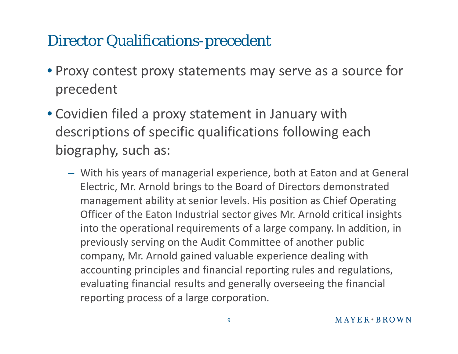## Director Qualifications-precedent

- Proxy contest proxy statements may serve as a source for precedent
- Covidien filed a proxy statement in January with descriptions of specific qualifications following each biography, such as:
	- With his years of managerial experience, both at Eaton and at General Electric, Mr. Arnold brings to the Board of Directors demonstrated management ability at senior levels. His position as Chief Operating Officer of the Eaton Industrial sector gives Mr. Arnold critical insights into the operational requirements of a large company. In addition, in previously serving on the Audit Committee of another public company, Mr. Arnold gained valuable experience dealing with accounting principles and financial reporting rules and regulations, evaluating financial results and generally overseeing the financial reporting process of a large corporation.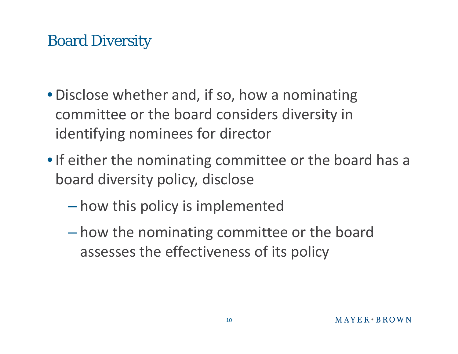## Board Diversity

- Disclose whether and, if so, how <sup>a</sup> nominating committee or the board considers diversity in identifying nominees for director
- $\bullet$  If either the nominating committee or the board has a board diversity policy, disclose
	- how this policy is implemented
	- how the nominating committee or the board assesses the effectiveness of its policy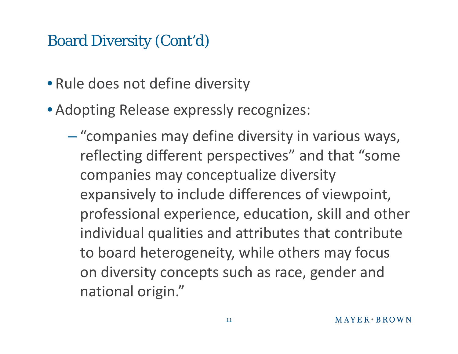## Board Diversity (Cont'd)

- Rule does not define diversity
- Adopting Release expressly recognizes:
	- **Hart Community**  "companies may define diversity in various ways, reflecting different perspectives " and that "some companies may conceptualize diversity expansively to include differences of viewpoint, professional experience, education, skill and other individual qualities and attributes that contribute to board heterogeneity, while others may focus on diversity concepts such as race, gender and national origin."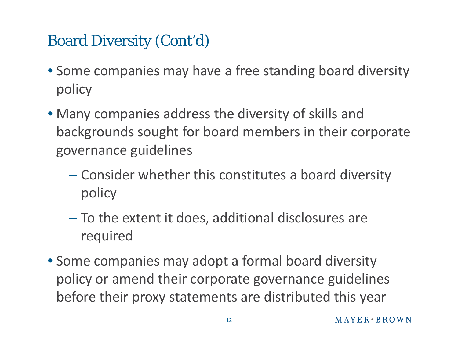## Board Diversity (Cont'd)

- Some companies may have a free standing board diversity policy
- Many companies address the diversity of skills and backgrounds sought for board members in their corporate governance guidelines
	- Consider whether this constitutes a board diversity policy
	- To the extent it does, additional disclosures are required
- Some companies may adopt a formal board diversity policy or amend their corporate governance guidelines before their proxy statements are distributed this year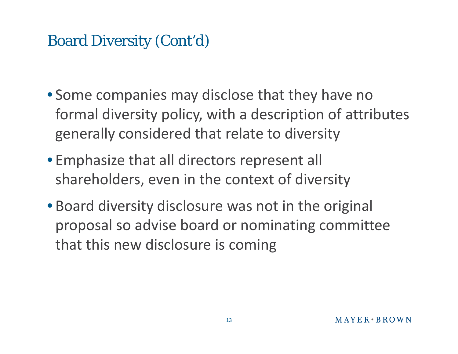## Board Diversity (Cont'd)

- Some companies may disclose that they have no formal diversity policy, with a description of attributes generally considered that relate to diversity
- Emp hasize t hat all directors represent all shareholders, even in the context of diversity
- Board diversity disclosure was not in the original proposal so advise board or nominating committee that this new disclosure is coming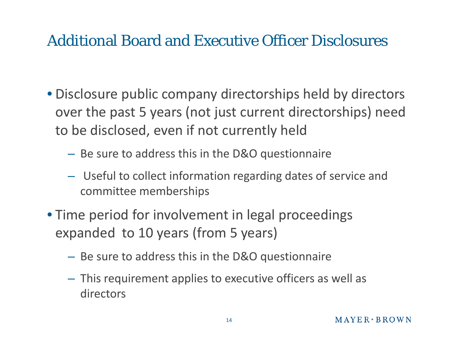## Additional Board and Executive Officer Disclosures

- Disclosure public company directorships held by directors over the past 5 years (not just current directorships) need to be disclosed, even if not currently held
	- Be sure to address this in the D&O questionnaire
	- Useful to collect information regarding dates of service and committee memberships
- Time period for involvement in legal proceedings expanded to 10 years (from 5 years)
	- Be sure to address this in the D&O questionnaire
	- $-$  This requirement applies to executive officers as well as directors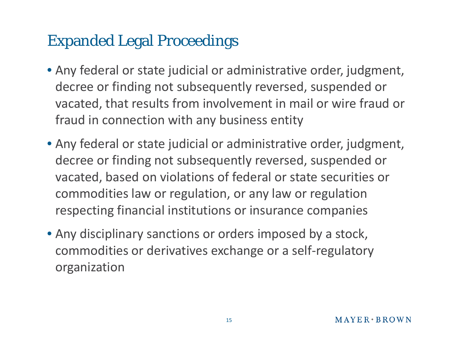## Expanded Legal Proceedings

- Any federal or state judicial or administrative order, judgment, decree or finding not subsequently reversed, suspended or vacated, that results from involvement in mail or wire fraud or fraud in connection with any business entity
- Any federal or state judicial or administrative order, judgment, decree or finding not subsequently reversed, suspended or vacated, based on violations of federal or state securities or commodities law or regulation, or any law or regulation respecting financial institutions or insurance companies
- Any disciplinary sanctions or orders imposed by a stock, commodities or derivatives exchange or a sel f ‐regulatory organization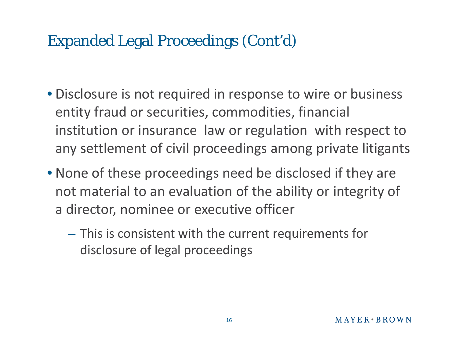## Expanded Legal Proceedings (Cont'd)

- Disclosure is not required in response to wire or business entity fraud or securities, commodities, financial institution or insurance law or regulation with respect to any settlement of civil proceedings among private litigants
- None of these proceedings need be disclosed if they are not material to an evaluation of the ability or integrity of a director, nominee or executive officer
	- $-$  This is consistent with the current requirements for disclosure of legal proceedings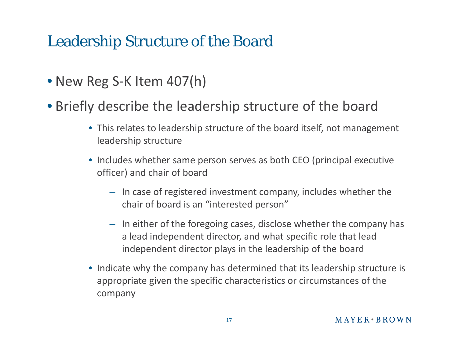## Leadership Structure of the Board

• New Reg S-K Item 407(h)

#### • Briefly describe the leadership structure of the board

- This relates to leadership structure of the board itself, not management leadership structure
- Includes whether same person serves as both CEO (principal executive officer) and chair of board
	- In case of registered investment company, includes whether the chair of board is an "interested person"
	- In either of the foregoing cases, disclose whether the company has a lead independent director, and what specific role that lead independent director plays in the leadership of the board
- Indicate why the company has determined that its leadership structure is appropriate given the specific characteristics or circumstances of the company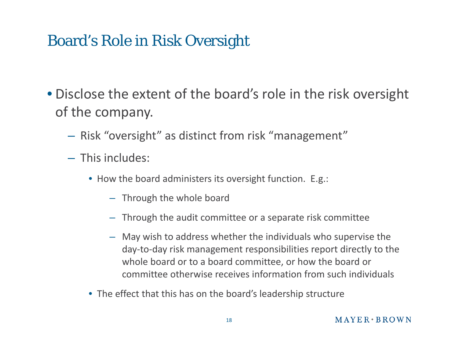## Board's Role in Risk Oversight

- Disclose the extent of the board's role in the risk oversight of the company.
	- $-$  Risk "oversight" as distinct from risk "management"
	- $-$  This includes:
		- How the board administers its oversight function. E.g.:
			- Through the whole board
			- Through the audit committee or a separate risk committee
			- May wish to address whether the individuals who supervise the day‐to‐day risk management responsibilities report directly to the whole board or to a board committee, or how the board or committee otherwise receives information from such individuals
		- The effect that this has on the board's leadership structure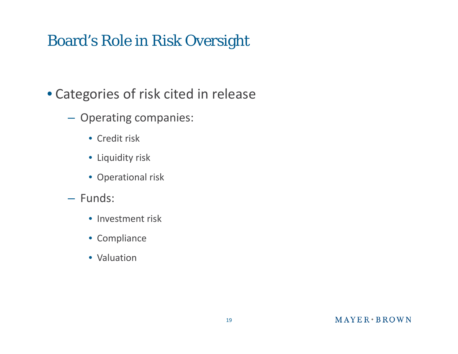## Board's Role in Risk Oversight

- Categories of risk cited in release
	- Operating companies:
		- Credit risk
		- Liquidity risk
		- Operational risk
	- Funds:
		- Investment risk
		- Compliance
		- Valuation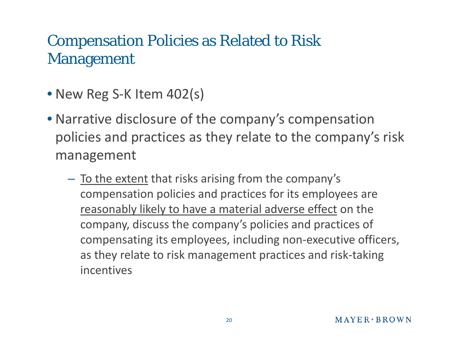- New Reg S-K Item 402(s)
- Narrative disclosure of the company's compensation policies and practices as they relate to the company's risk management
	- <u>To the extent</u> that risks arising from the company's compensation policies and practices for its employees are reasonably likely to have a material adverse effect on the company, discuss the company's policies and practices of compensating its employees, including non ‐executive officers, as they relate to risk management practices and risk ‐taking incentives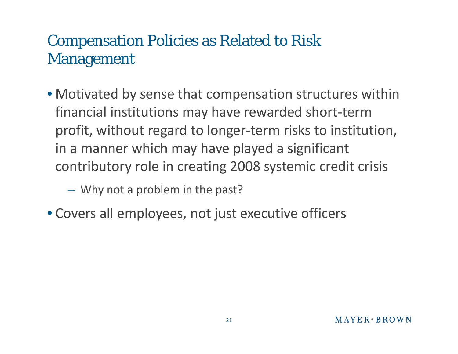• Motivated by sense that compensation structures within financial institutions may have rewarded short ‐term profit, without regard to longer ‐term risks to institution, in a manner which may have played a significant contributory role in creating 2008 systemic credit crisis

Why not a problem in the past?

• Covers all employees, not just executive officers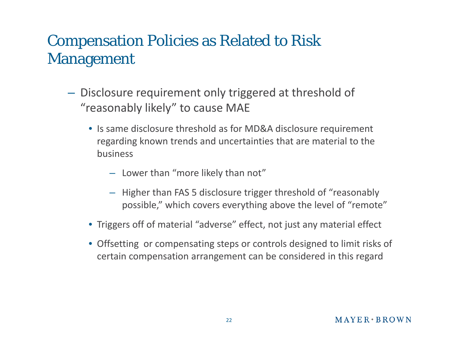- $-$  Disclosure requirement only triggered at threshold of "reasonably likely" to cause MAE
	- Is same disclosure threshold as for MD&A disclosure requirement regarding known trends and uncertainties that are material to the business
		- Lower than "more likely than not"
		- Higher than FAS 5 disclosure trigger threshold of "reasonably possible," which covers everything above the level of "remote"
	- Triggers off of material "adverse" effect, not just any material effect
	- Offsetting or compensating steps or controls designed to limit risks of certain compensation arrangement can be considered in this regard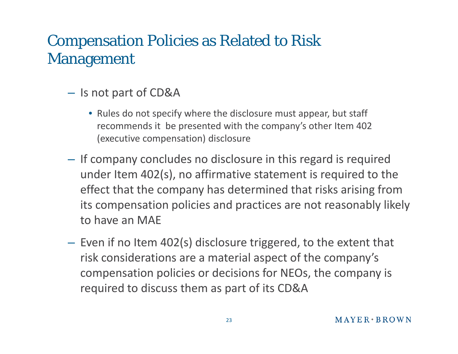- $-$  Is not part of CD&A
	- Rules do not specify where the disclosure must appear, but staff recommends it be presented with the company's other Item 402 (executive compensation) disclosure
- **Holland** and the con- $-$  If company concludes no disclosure in this regard is required under Item 402(s), no affirmative statement is required to the effect that the company has determined that risks arising from its compensation policies and practices are not reasonably likely to have an MAE
- $-$  Even if no Item 402(s) disclosure triggered, to the extent that risk considerations are a material aspect of the company's compensation policies or decisions for NEOs, the company is required to discuss them as part of its CD&A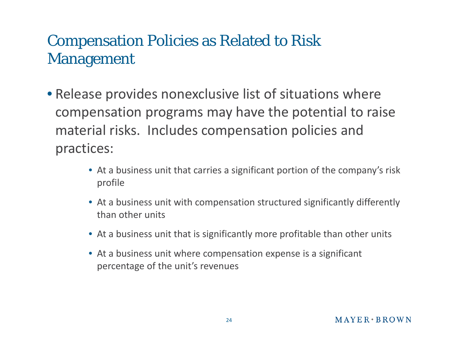- Release provides nonexclusive list of situations where compensation programs may have the potential to raise material risks. Includes compensation policies and practices:
	- At a business unit that carries a significant portion of the company's risk profile
	- At a business unit with compensation structured significantly differently than other units
	- At a business unit that is significantly more profitable than other units
	- At a business unit where compensation expense is a significant percentage of the unit's revenues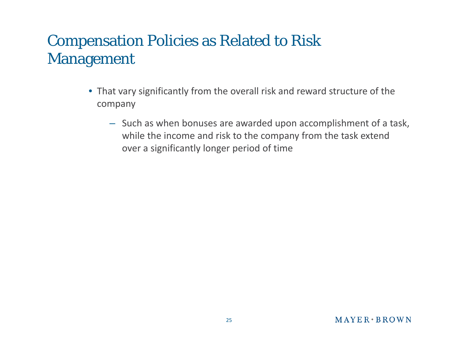- That vary significantly from the overall risk and reward structure of the company
	- Such as when bonuses are awarded upon accomplishment of a task, while the income and risk to the company from the task extend over a significantly longer period of time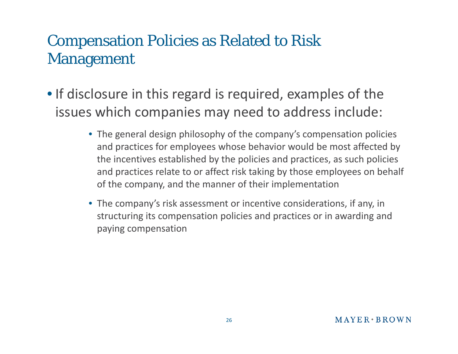- If disclosure in this regard is required, examples of the issues which companies may need to address include:
	- The general design philosophy of the company's compensation policies and practices for employees whose behavior would be most affected by the incentives established by the policies and practices, as such policies and practices relate to or affect risk taking by those employees on behalf of the company, and the manner of their implementation
	- The company's risk assessment or incentive considerations, if any, in structuring its compensation policies and practices or in awarding and paying compensation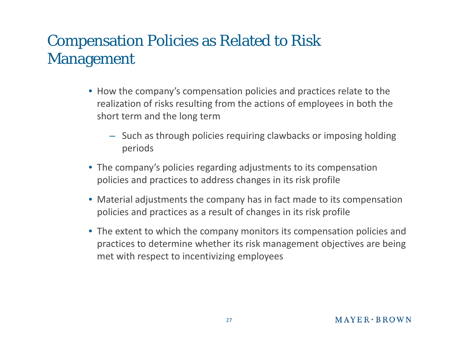- How the company's compensation policies and practices relate to the realization of risks resulting from the actions of employees in both the short term and the long term
	- Such as through policies requiring clawbacks or imposing holding periods
- The company's policies regarding adjustments to its compensation policies and practices to address changes in its risk profile
- Material adjustments the company has in fact made to its compensation policies and practices as a result of changes in its risk profile
- The extent to which the company monitors its compensation policies and practices to determine whether its risk management objectives are being met with respect to incentivizing employees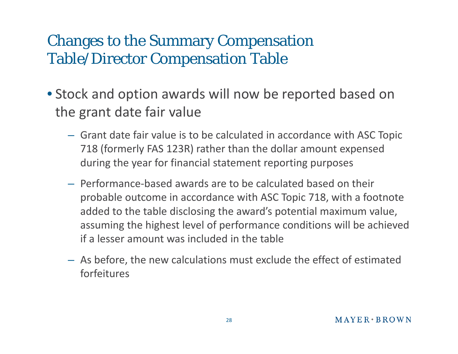## Changes to the Summary Compensation Table/Director Compensation Table

- Stock and option awards will now be reported based on the grant date fair value
	- Grant date fair value is to be calculated in accordance with ASC Topic 718 (formerl y FAS 123R) rather than the dollar amount ex pensed during the year for financial statement reporting purposes
	- Performance ‐based awards are to be calculated based on their probable outcome in accordance with ASC Topic 718, with a footnote added to the table disclosing the award's potential maximum value, assuming the highest level of performance conditions will be achieved if a lesser amount was included in the table
	- As before, the new calculations must exclude the effect of estimated forfeitures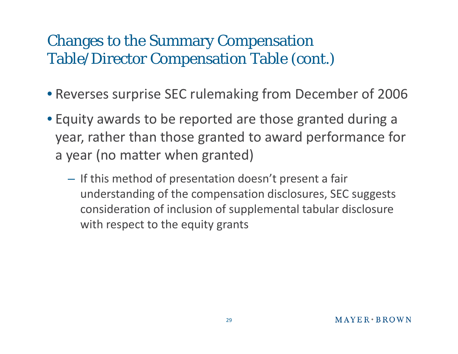## Changes to the Summary Compensation Table/Director Compensation Table (cont.)

- Reverses surprise SEC rulemaking from December of 2006
- Equity awards to be reported are those granted during a year, rather than those granted to award performance for a year (no matter when granted)
	- $-$  If this method of presentation doesn't present a fair understandin g of the com pensation disclosures, SEC suggests consideration of inclusion of supplemental tabular disclosure with respect to the equity grants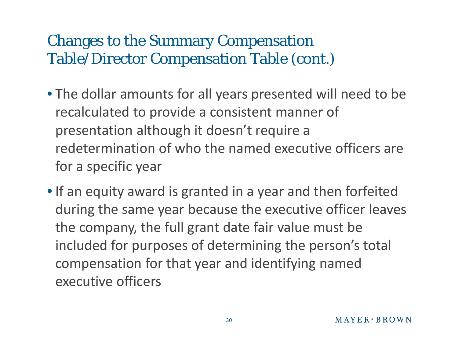## Changes to the Summary Compensation Table/Director Compensation Table (cont.)

- The dollar amounts for all years presented will need to be recalculated to provide a consistent manner of presentation although it doesn't require a redetermination of who the named executive officers are for a specific year
- If an equity award is granted in a year and then forfeited during the same year because the executive officer leaves the company, the full grant date fair value must be included for purposes of determining the person's total compensation for that year and identifying named executive officers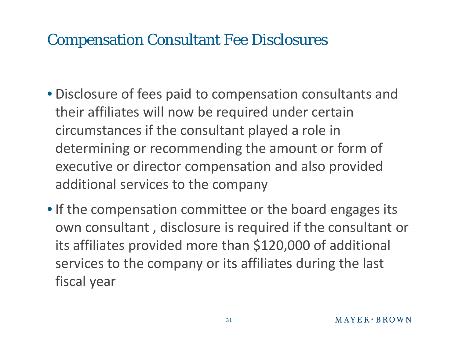- Disclosure of fees paid to compensation consultants and their affiliates will now be required under certain circumstances if the consultant played a role in determining or recommending the amount or form of executive or director compensation and also provided additional services to the company
- If the compensation committee or the board engages its own consultant , disclosure is required if the consultant or its affiliates provided more than \$120,000 of additional services to the company or its affiliates during the last fiscal year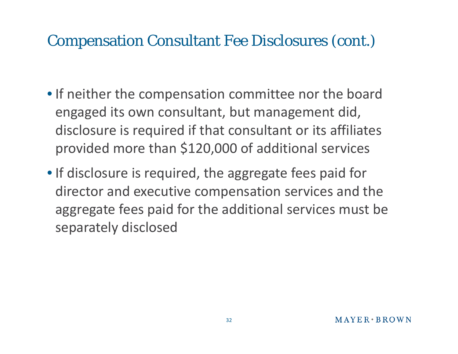- If neither the compensation committee nor the board engaged its own consultant, but management did, disclosure is required if that consultant or its affiliates provided more than \$120,000 of additional services
- If disclosure is required, the aggregate fees paid for director and executive compensation services and the aggregate fees paid for the additional services must be separately disclosed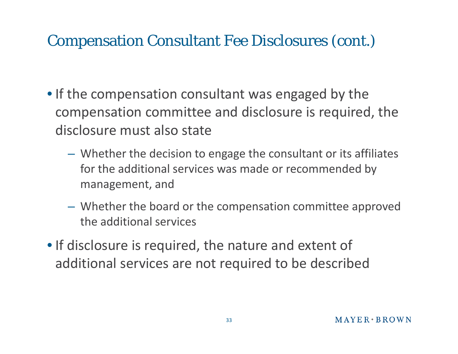- If the compensation consultant was engaged by the compensation committee and disclosure is required, the disclosure must also state
	- Whether the decision to engage the consultant or its affiliates for the additional services was made or recommended by management, and
	- Whether the board or the compensation committee approved the additional services
- If disclosure is required, the nature and extent of additional services are not required to be described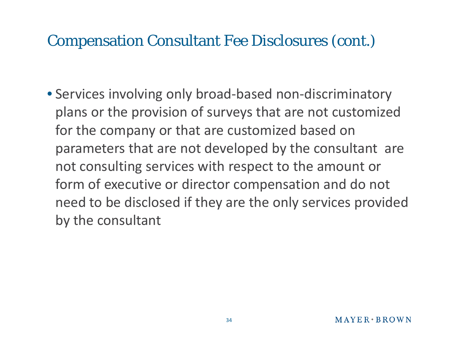• Services involving only broad ‐based non ‐discriminatory plans or the provision of surveys that are not customized for the company or that are customized based on parameters that are not develo ped b y the consultant are not consulting services with respect to the amount or form of executive or director compensation and do not need to be disclosed if they are the only services provided by the consultant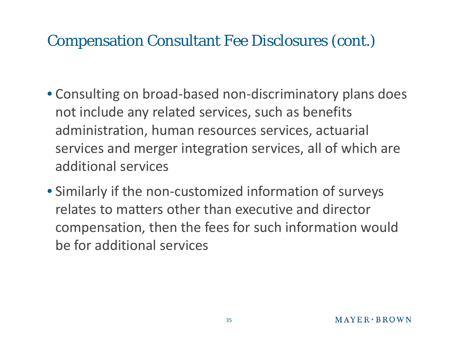- Consulting on broad-based non-discriminatory plans does not include any related services, such as benefits administration, human resources services, actuarial services and mer ger inte gration services, all of which are additional services
- Similarly if the non ‐customized information of surveys relates to matters other than executive and director compensation, then the fees for such information would be for additional services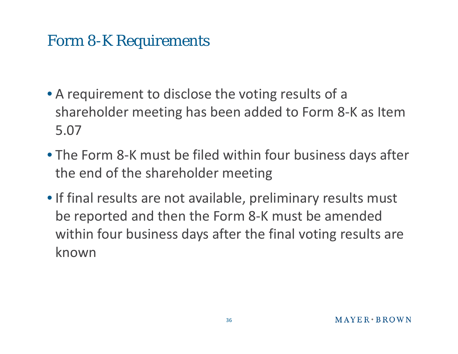#### Form 8-K Requirements

- A requirement to disclose the voting results of a shareholder meeting has been added to Form 8 ‐ K as Item 5.07
- The Form 8-K must be filed within four business days after the end of the shareholder meeting
- If final results are not available, preliminary results must be reported and then the Form 8 ‐ K must be amended within four business days after the final voting results are known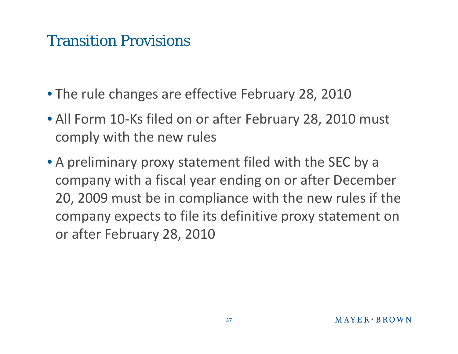#### Transition Provisions

- The rule changes are effective February 28, 2010
- All Form 10‐Ks filed on or after February 28, 2010 must comply with the new rules
- A preliminary proxy statement filed with the SEC by <sup>a</sup> company with <sup>a</sup> fiscal year ending on or after December 20, 2009 must be in compliance with the new rules if the company expects to file its definitive proxy statement on or after February 28, 2010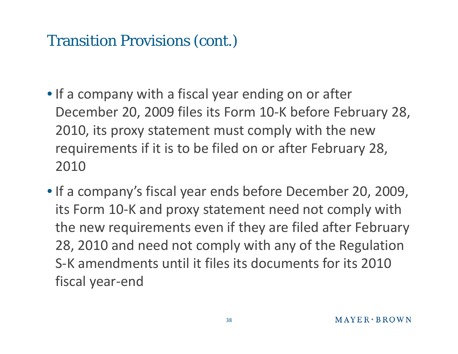## Transition Provisions (cont.)

- If a company with a fiscal year ending on or after December 20, 2009 files its Form 10 ‐ K before February 28, 2010, its proxy statement must comply with the new re quirements if it is to be filed on or after Februar y 28, 2010
- If a company's fiscal year ends before December 20, 2009, its Form 10 ‐ K and proxy statement need not comply with the new requirements even if they are filed after February 28, 2010 and need not comply with any of the Regulation S‐K amendments until it files its documents for its 2010 fiscal year ‐end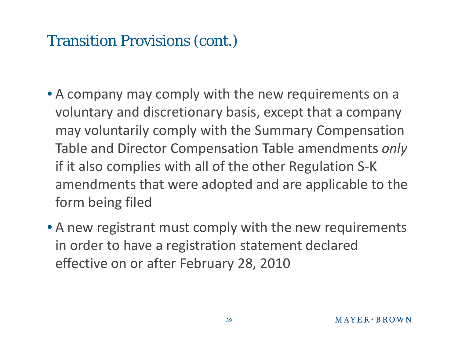## Transition Provisions (cont.)

- A company may comply with the new requirements on a voluntary and discretionary basis, except that a company may voluntarily comply with the Summary Compensation Table and Director Com pensation Table amendments *only* if it also complies with all of the other Regulation S ‐ K amendments that were adopted and are applicable to the form being filed
- A new registrant must comply with the new requirements in order to have a registration statement declared effective on or after February 28, 2010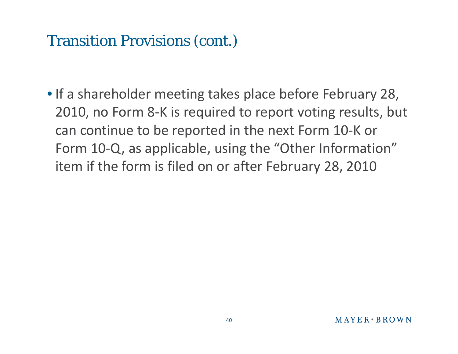## Transition Provisions (cont.)

• If a shareholder meeting takes place before February 28, 2010, no Form 8-K is required to report voting results, but can continue to be reported in the next Form 10 ‐ K or Form 10-Q, as applicable, using the "Other Information" item if the form is filed on or after February 28, 2010